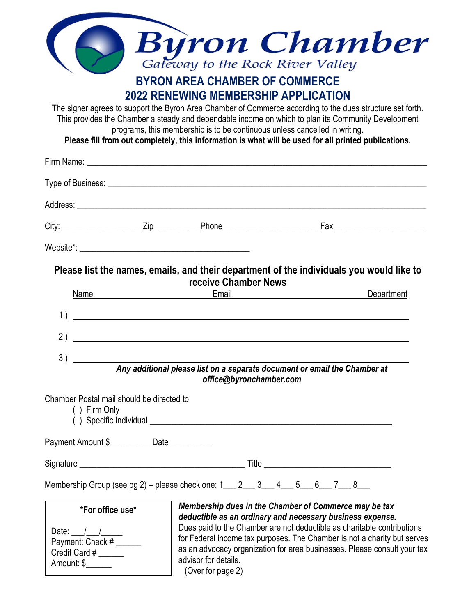|                                                                                             | <b>BYRON AREA CHAMBER OF COMMERCE</b>                                                                                     | <b>Byron Chamber</b><br>Gateway to the Rock River Valley                                                                                                                                                                                                                                                                                              |
|---------------------------------------------------------------------------------------------|---------------------------------------------------------------------------------------------------------------------------|-------------------------------------------------------------------------------------------------------------------------------------------------------------------------------------------------------------------------------------------------------------------------------------------------------------------------------------------------------|
|                                                                                             | <b>2022 RENEWING MEMBERSHIP APPLICATION</b><br>programs, this membership is to be continuous unless cancelled in writing. | The signer agrees to support the Byron Area Chamber of Commerce according to the dues structure set forth.<br>This provides the Chamber a steady and dependable income on which to plan its Community Development<br>Please fill from out completely, this information is what will be used for all printed publications.                             |
|                                                                                             |                                                                                                                           |                                                                                                                                                                                                                                                                                                                                                       |
|                                                                                             |                                                                                                                           |                                                                                                                                                                                                                                                                                                                                                       |
|                                                                                             |                                                                                                                           |                                                                                                                                                                                                                                                                                                                                                       |
|                                                                                             |                                                                                                                           |                                                                                                                                                                                                                                                                                                                                                       |
|                                                                                             |                                                                                                                           |                                                                                                                                                                                                                                                                                                                                                       |
| Name<br><u> 1980 - John Stein, Amerikaansk politiker (</u> † 1910)                          | receive Chamber News                                                                                                      | Please list the names, emails, and their department of the individuals you would like to<br>Email <u>_________________________</u><br>Department                                                                                                                                                                                                      |
| 1.                                                                                          | <u> 1980 - Jan Samuel Barbara, martin di sebagai personal di sebagai personal di sebagai personal di sebagai per</u>      |                                                                                                                                                                                                                                                                                                                                                       |
| 2.<br><u> 1980 - Jan Samuel Barbara, martin di</u>                                          |                                                                                                                           |                                                                                                                                                                                                                                                                                                                                                       |
| 3.)                                                                                         | office@byronchamber.com                                                                                                   | Any additional please list on a separate document or email the Chamber at                                                                                                                                                                                                                                                                             |
| Chamber Postal mail should be directed to:<br>() Firm Only                                  |                                                                                                                           |                                                                                                                                                                                                                                                                                                                                                       |
| Payment Amount \$____________Date ___________                                               |                                                                                                                           |                                                                                                                                                                                                                                                                                                                                                       |
|                                                                                             |                                                                                                                           |                                                                                                                                                                                                                                                                                                                                                       |
| Membership Group (see pg 2) – please check one: $1 \_ 2 \_ 3 \_ 4 \_ 5 \_ 6 \_ 7 \_ 8 \_ 1$ |                                                                                                                           |                                                                                                                                                                                                                                                                                                                                                       |
| *For office use*<br>Date: $/$ /<br>Payment: Check #<br>Credit Card #<br>Amount: \$          | advisor for details.<br>(Over for page 2)                                                                                 | Membership dues in the Chamber of Commerce may be tax<br>deductible as an ordinary and necessary business expense.<br>Dues paid to the Chamber are not deductible as charitable contributions<br>for Federal income tax purposes. The Chamber is not a charity but serves<br>as an advocacy organization for area businesses. Please consult your tax |